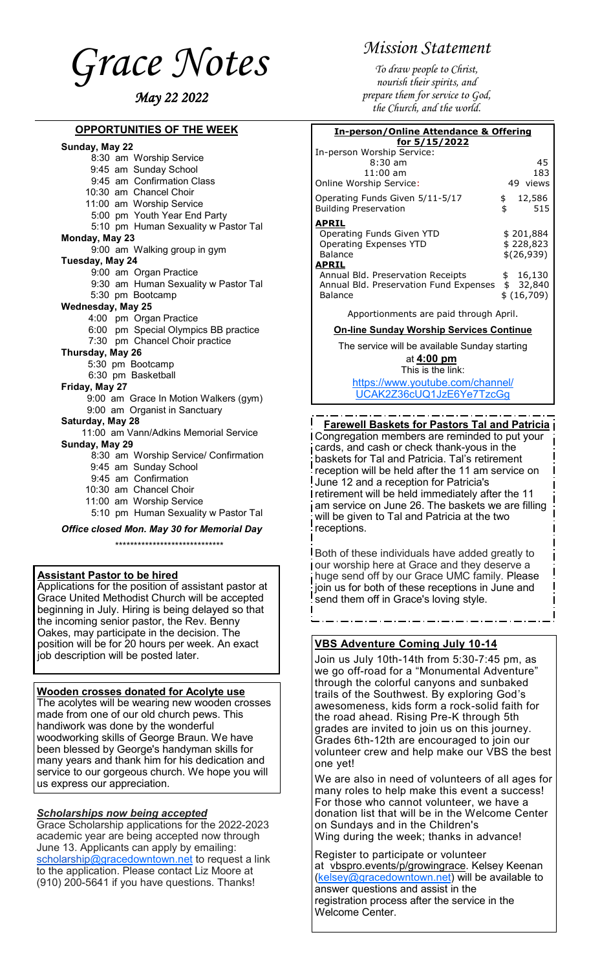<span id="page-0-0"></span>*Grace Notes May 22 2022*

## **OPPORTUNITIES OF THE WEEK**

#### **Sunday, May 22**

 8:30 am Worship Service 9:45 am Sunday School 9:45 am Confirmation Class 10:30 am Chancel Choir 11:00 am Worship Service 5:00 pm Youth Year End Party 5:10 pm Human Sexuality w Pastor Tal **Monday, May 23** 9:00 am Walking group in gym **Tuesday, May 24** 9:00 am Organ Practice 9:30 am Human Sexuality w Pastor Tal 5:30 pm Bootcamp **Wednesday, May 25** 4:00 pm Organ Practice 6:00 pm Special Olympics BB practice 7:30 pm Chancel Choir practice **Thursday, May 26** 5:30 pm Bootcamp 6:30 pm Basketball **Friday, May 27** 9:00 am Grace In Motion Walkers (gym) 9:00 am Organist in Sanctuary **Saturday, May 28** 11:00 am Vann/Adkins Memorial Service **Sunday, May 29** 8:30 am Worship Service/ Confirmation 9:45 am Sunday School 9:45 am Confirmation 10:30 am Chancel Choir 11:00 am Worship Service 5:10 pm Human Sexuality w Pastor Tal *Office closed Mon. May 30 for Memorial Day* \*\*\*\*\*\*\*\*\*\*\*\*\*\*\*\*\*\*\*\*\*\*\*\*\*\*\*\*\*

#### **Assistant Pastor to be hired**

Applications for the position of assistant pastor at Grace United Methodist Church will be accepted beginning in July. Hiring is being delayed so that the incoming senior pastor, the Rev. Benny Oakes, may participate in the decision. The position will be for 20 hours per week. An exact job description will be posted later.

#### **Wooden crosses donated for Acolyte use**

The acolytes will be wearing new wooden crosses made from one of our old church pews. This handiwork was done by the wonderful woodworking skills of George Braun. We have been blessed by George's handyman skills for many years and thank him for his dedication and service to our gorgeous church. We hope you will us express our appreciation.

#### *Scholarships now being accepted*

Grace Scholarship applications for the 2022-2023 academic year are being accepted now through June 13. Applicants can apply by emailing: [scholarship@gracedowntown.net](mailto:scholarship@gracedowntown.net) to request a link to the application. Please contact Liz Moore at (910) 200-5641 if you have questions. Thanks!

# *Mission Statement*

*To draw people to Christ, nourish their spirits, and prepare them for service to God, the Church, and the world.*

**In-person/Online Attendance & Offering** 

| In person, Online Attendance & Onering |    |             |  |
|----------------------------------------|----|-------------|--|
| for 5/15/2022                          |    |             |  |
| In-person Worship Service:             |    |             |  |
| $8:30$ am                              |    | 45          |  |
| $11:00$ am                             |    | 183         |  |
| Online Worship Service:                |    | 49 views    |  |
| Operating Funds Given 5/11-5/17        | \$ | 12,586      |  |
| <b>Building Preservation</b>           | \$ | 515         |  |
| <b>APRIL</b>                           |    |             |  |
| Operating Funds Given YTD              |    | \$201,884   |  |
| Operating Expenses YTD                 |    | \$228,823   |  |
| Balance                                |    | \$(26,939)  |  |
| <b>APRIL</b>                           |    |             |  |
| Annual Bld. Preservation Receipts      | \$ | 16,130      |  |
| Annual Bld. Preservation Fund Expenses |    | \$32,840    |  |
| Balance                                |    | \$ (16,709) |  |

Apportionments are paid through April.

#### **On-line Sunday Worship Services Continue**

The service will be available Sunday starting at **4:00 pm** This is the link: [https://www.youtube.com/channel/](#page-0-0) [UCAK2Z36cUQ1JzE6Ye7TzcGg](#page-0-0)

 **Farewell Baskets for Pastors Tal and Patricia** Congregation members are reminded to put your cards, and cash or check thank-yous in the baskets for Tal and Patricia. Tal's retirement reception will be held after the 11 am service on June 12 and a reception for Patricia's retirement will be held immediately after the 11 am service on June 26. The baskets we are filling will be given to Tal and Patricia at the two receptions.

Both of these individuals have added greatly to our worship here at Grace and they deserve a huge send off by our Grace UMC family. Please join us for both of these receptions in June and send them off in Grace's loving style.

## **VBS Adventure Coming July 10-14**

Join us July 10th-14th from 5:30-7:45 pm, as we go off-road for a "Monumental Adventure" through the colorful canyons and sunbaked trails of the Southwest. By exploring God's awesomeness, kids form a rock-solid faith for the road ahead. Rising Pre-K through 5th grades are invited to join us on this journey. Grades 6th-12th are encouraged to join our volunteer crew and help make our VBS the best one yet!

We are also in need of volunteers of all ages for many roles to help make this event a success! For those who cannot volunteer, we have a donation list that will be in the Welcome Center on Sundays and in the Children's Wing during the week; thanks in advance!

Register to participate or volunteer at [vbspro.events/p/growingrace.](https://vbspro.events/p/growingrace) Kelsey Keenan ([kelsey@gracedowntown.net\)](mailto:kelsey@gracedowntown.net) will be available to answer questions and assist in the registration process after the service in the Welcome Center.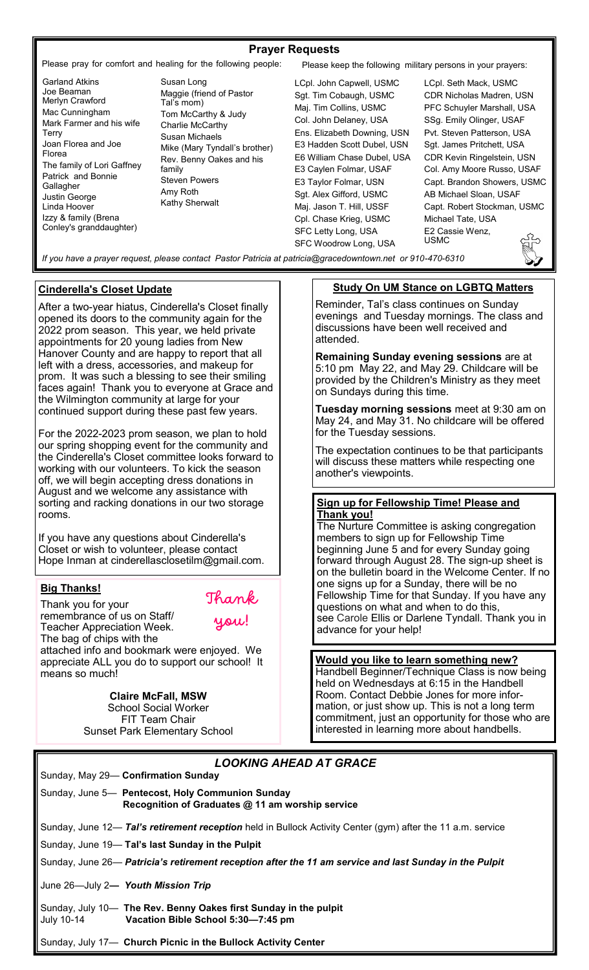## **Prayer Requests**

Please pray for comfort and healing for the following people: Please keep the following military persons in your prayers:

- Garland Atkins Joe Beaman Merlyn Crawford Mac Cunningham Mark Farmer and his wife Terry Joan Florea and Joe Florea The family of Lori Gaffney Patrick and Bonnie Gallagher Justin George Linda Hoover Izzy & family (Brena Conley's granddaughter)
- Susan Long Maggie (friend of Pastor Tal's mom) Tom McCarthy & Judy Charlie McCarthy Susan Michaels Mike (Mary Tyndall's brother) Rev. Benny Oakes and his family Steven Powers Amy Roth Kathy Sherwalt

LCpl. John Capwell, USMC Sgt. Tim Cobaugh, USMC Maj. Tim Collins, USMC Col. John Delaney, USA Ens. Elizabeth Downing, USN E3 Hadden Scott Dubel, USN E6 William Chase Dubel, USA E3 Caylen Folmar, USAF E3 Taylor Folmar, USN Sgt. Alex Gifford, USMC Maj. Jason T. Hill, USSF Cpl. Chase Krieg, USMC SFC Letty Long, USA SFC Woodrow Long, USA

LCpl. Seth Mack, USMC CDR Nicholas Madren, USN PFC Schuyler Marshall, USA SSg. Emily Olinger, USAF Pvt. Steven Patterson, USA Sgt. James Pritchett, USA CDR Kevin Ringelstein, USN Col. Amy Moore Russo, USAF Capt. Brandon Showers, USMC AB Michael Sloan, USAF Capt. Robert Stockman, USMC Michael Tate, USA E2 Cassie Wenz, USMC

*If you have a prayer request, please contact Pastor Patricia at patricia@gracedowntown.net or 910-470-6310* 

Thank

you!

#### **Cinderella's Closet Update**

After a two-year hiatus, Cinderella's Closet finally opened its doors to the community again for the 2022 prom season. This year, we held private appointments for 20 young ladies from New Hanover County and are happy to report that all left with a dress, accessories, and makeup for prom. It was such a blessing to see their smiling faces again! Thank you to everyone at Grace and the Wilmington community at large for your continued support during these past few years.

For the 2022-2023 prom season, we plan to hold our spring shopping event for the community and the Cinderella's Closet committee looks forward to working with our volunteers. To kick the season off, we will begin accepting dress donations in August and we welcome any assistance with sorting and racking donations in our two storage rooms.

If you have any questions about Cinderella's Closet or wish to volunteer, please contact Hope Inman at cinderellasclosetilm@gmail.com.

## **Big Thanks!**

Thank you for your remembrance of us on Staff/ Teacher Appreciation Week. The bag of chips with the attached info and bookmark were enjoyed. We appreciate ALL you do to support our school! It means so much!

> **Claire McFall, MSW** School Social Worker FIT Team Chair Sunset Park Elementary School

## **Study On UM Stance on LGBTQ Matters**

Reminder, Tal's class continues on Sunday evenings and Tuesday mornings. The class and discussions have been well received and attended.

**Remaining Sunday evening sessions** are at 5:10 pm May 22, and May 29. Childcare will be provided by the Children's Ministry as they meet on Sundays during this time.

**Tuesday morning sessions** meet at 9:30 am on May 24, and May 31. No childcare will be offered for the Tuesday sessions.

The expectation continues to be that participants will discuss these matters while respecting one another's viewpoints.

#### **Sign up for Fellowship Time! Please and Thank you!**

The Nurture Committee is asking congregation members to sign up for Fellowship Time beginning June 5 and for every Sunday going forward through August 28. The sign-up sheet is on the bulletin board in the Welcome Center. If no one signs up for a Sunday, there will be no Fellowship Time for that Sunday. If you have any questions on what and when to do this, see Carole Ellis or Darlene Tyndall. Thank you in advance for your help!

#### **Would you like to learn something new?**

Handbell Beginner/Technique Class is now being held on Wednesdays at 6:15 in the Handbell Room. Contact Debbie Jones for more information, or just show up. This is not a long term commitment, just an opportunity for those who are interested in learning more about handbells.

# *LOOKING AHEAD AT GRACE*

|                                    | Sunday, May 29- Confirmation Sunday                                                                         |
|------------------------------------|-------------------------------------------------------------------------------------------------------------|
|                                    | Sunday, June 5— Pentecost, Holy Communion Sunday<br>Recognition of Graduates @ 11 am worship service        |
|                                    | Sunday, June 12— Tal's retirement reception held in Bullock Activity Center (gym) after the 11 a.m. service |
|                                    | Sunday, June 19- Tal's last Sunday in the Pulpit                                                            |
|                                    | Sunday, June 26— Patricia's retirement reception after the 11 am service and last Sunday in the Pulpit      |
| June 26—July 2— Youth Mission Trip |                                                                                                             |
| July 10-14                         | Sunday, July 10— The Rev. Benny Oakes first Sunday in the pulpit<br>Vacation Bible School 5:30-7:45 pm      |

Sunday, July 17— **Church Picnic in the Bullock Activity Center**